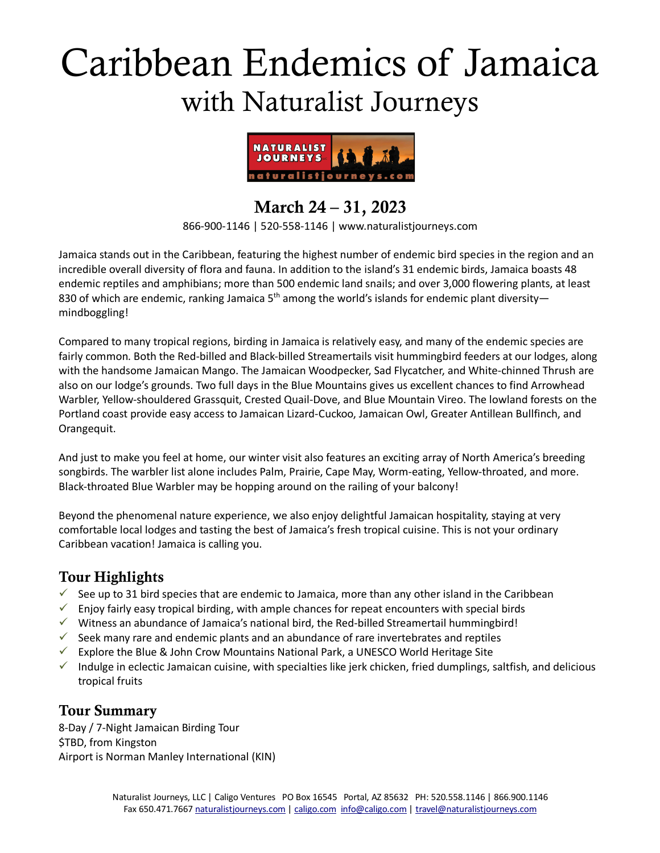# Caribbean Endemics of Jamaica with Naturalist Journeys



# March 24 – 31, 2023

866-900-1146 | 520-558-1146 | www.naturalistjourneys.com

Jamaica stands out in the Caribbean, featuring the highest number of endemic bird species in the region and an incredible overall diversity of flora and fauna. In addition to the island's 31 endemic birds, Jamaica boasts 48 endemic reptiles and amphibians; more than 500 endemic land snails; and over 3,000 flowering plants, at least 830 of which are endemic, ranking Jamaica  $5<sup>th</sup>$  among the world's islands for endemic plant diversity mindboggling!

Compared to many tropical regions, birding in Jamaica is relatively easy, and many of the endemic species are fairly common. Both the Red-billed and Black-billed Streamertails visit hummingbird feeders at our lodges, along with the handsome Jamaican Mango. The Jamaican Woodpecker, Sad Flycatcher, and White-chinned Thrush are also on our lodge's grounds. Two full days in the Blue Mountains gives us excellent chances to find Arrowhead Warbler, Yellow-shouldered Grassquit, Crested Quail-Dove, and Blue Mountain Vireo. The lowland forests on the Portland coast provide easy access to Jamaican Lizard-Cuckoo, Jamaican Owl, Greater Antillean Bullfinch, and Orangequit.

And just to make you feel at home, our winter visit also features an exciting array of North America's breeding songbirds. The warbler list alone includes Palm, Prairie, Cape May, Worm-eating, Yellow-throated, and more. Black-throated Blue Warbler may be hopping around on the railing of your balcony!

Beyond the phenomenal nature experience, we also enjoy delightful Jamaican hospitality, staying at very comfortable local lodges and tasting the best of Jamaica's fresh tropical cuisine. This is not your ordinary Caribbean vacation! Jamaica is calling you.

### Tour Highlights

- $\checkmark$  See up to 31 bird species that are endemic to Jamaica, more than any other island in the Caribbean
- $\checkmark$  Enjoy fairly easy tropical birding, with ample chances for repeat encounters with special birds
- $\checkmark$  Witness an abundance of Jamaica's national bird, the Red-billed Streamertail hummingbird!
- $\checkmark$  Seek many rare and endemic plants and an abundance of rare invertebrates and reptiles
- $\checkmark$  Explore the Blue & John Crow Mountains National Park, a UNESCO World Heritage Site
- $\checkmark$  Indulge in eclectic Jamaican cuisine, with specialties like jerk chicken, fried dumplings, saltfish, and delicious tropical fruits

#### Tour Summary

8-Day / 7-Night Jamaican Birding Tour \$TBD, from Kingston Airport is Norman Manley International (KIN)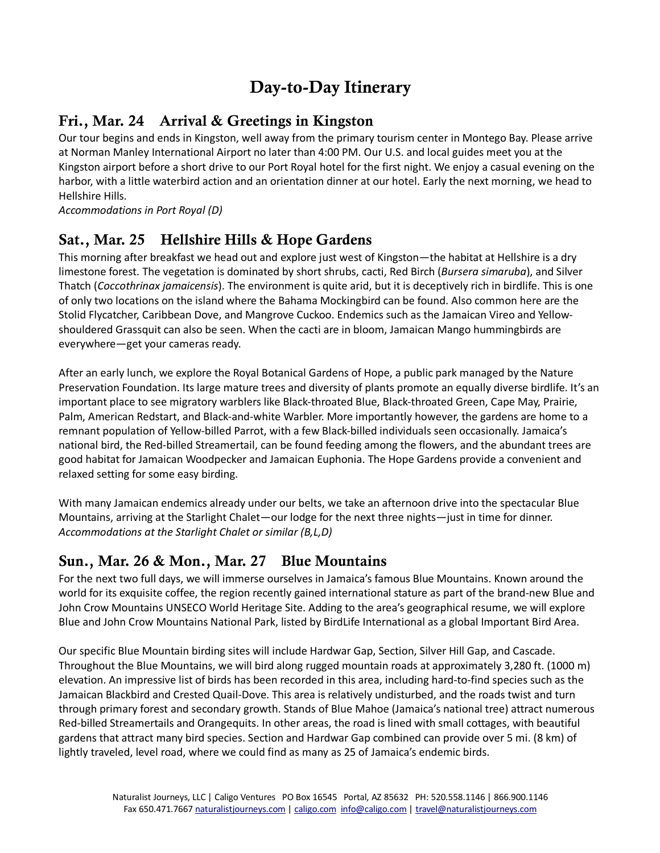# Day-to-Day Itinerary

## Fri., Mar. 24 Arrival & Greetings in Kingston

Our tour begins and ends in Kingston, well away from the primary tourism center in Montego Bay. Please arrive at Norman Manley International Airport no later than 4:00 PM. Our U.S. and local guides meet you at the Kingston airport before a short drive to our Port Royal hotel for the first night. We enjoy a casual evening on the harbor, with a little waterbird action and an orientation dinner at our hotel. Early the next morning, we head to Hellshire Hills.

*Accommodations in Port Royal (D)*

### Sat., Mar. 25 Hellshire Hills & Hope Gardens

This morning after breakfast we head out and explore just west of Kingston—the habitat at Hellshire is a dry limestone forest. The vegetation is dominated by short shrubs, cacti, Red Birch (*Bursera simaruba*), and Silver Thatch (*Coccothrinax jamaicensis*). The environment is quite arid, but it is deceptively rich in birdlife. This is one of only two locations on the island where the Bahama Mockingbird can be found. Also common here are the Stolid Flycatcher, Caribbean Dove, and Mangrove Cuckoo. Endemics such as the Jamaican Vireo and Yellowshouldered Grassquit can also be seen. When the cacti are in bloom, Jamaican Mango hummingbirds are everywhere—get your cameras ready.

After an early lunch, we explore the Royal Botanical Gardens of Hope, a public park managed by the Nature Preservation Foundation. Its large mature trees and diversity of plants promote an equally diverse birdlife. It's an important place to see migratory warblers like Black-throated Blue, Black-throated Green, Cape May, Prairie, Palm, American Redstart, and Black-and-white Warbler. More importantly however, the gardens are home to a remnant population of Yellow-billed Parrot, with a few Black-billed individuals seen occasionally. Jamaica's national bird, the Red-billed Streamertail, can be found feeding among the flowers, and the abundant trees are good habitat for Jamaican Woodpecker and Jamaican Euphonia. The Hope Gardens provide a convenient and relaxed setting for some easy birding.

With many Jamaican endemics already under our belts, we take an afternoon drive into the spectacular Blue Mountains, arriving at the Starlight Chalet—our lodge for the next three nights—just in time for dinner. *Accommodations at the Starlight Chalet or similar (B,L,D)*

### Sun., Mar. 26 & Mon., Mar. 27 Blue Mountains

For the next two full days, we will immerse ourselves in Jamaica's famous Blue Mountains. Known around the world for its exquisite coffee, the region recently gained international stature as part of the brand-new Blue and John Crow Mountains UNSECO World Heritage Site. Adding to the area's geographical resume, we will explore Blue and John Crow Mountains National Park, listed by BirdLife International as a global Important Bird Area.

Our specific Blue Mountain birding sites will include Hardwar Gap, Section, Silver Hill Gap, and Cascade. Throughout the Blue Mountains, we will bird along rugged mountain roads at approximately 3,280 ft. (1000 m) elevation. An impressive list of birds has been recorded in this area, including hard-to-find species such as the Jamaican Blackbird and Crested Quail-Dove. This area is relatively undisturbed, and the roads twist and turn through primary forest and secondary growth. Stands of Blue Mahoe (Jamaica's national tree) attract numerous Red-billed Streamertails and Orangequits. In other areas, the road is lined with small cottages, with beautiful gardens that attract many bird species. Section and Hardwar Gap combined can provide over 5 mi. (8 km) of lightly traveled, level road, where we could find as many as 25 of Jamaica's endemic birds.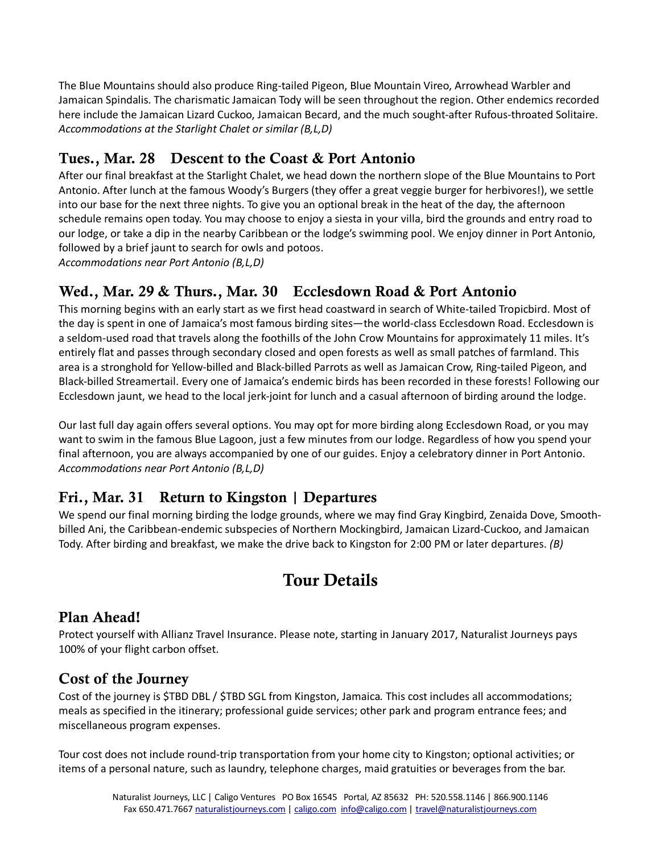The Blue Mountains should also produce Ring-tailed Pigeon, Blue Mountain Vireo, Arrowhead Warbler and Jamaican Spindalis. The charismatic Jamaican Tody will be seen throughout the region. Other endemics recorded here include the Jamaican Lizard Cuckoo, Jamaican Becard, and the much sought-after Rufous-throated Solitaire. *Accommodations at the Starlight Chalet or similar (B,L,D)*

## Tues., Mar. 28 Descent to the Coast & Port Antonio

After our final breakfast at the Starlight Chalet, we head down the northern slope of the Blue Mountains to Port Antonio. After lunch at the famous Woody's Burgers (they offer a great veggie burger for herbivores!), we settle into our base for the next three nights. To give you an optional break in the heat of the day, the afternoon schedule remains open today. You may choose to enjoy a siesta in your villa, bird the grounds and entry road to our lodge, or take a dip in the nearby Caribbean or the lodge's swimming pool. We enjoy dinner in Port Antonio, followed by a brief jaunt to search for owls and potoos.

*Accommodations near Port Antonio (B,L,D)*

### Wed., Mar. 29 & Thurs., Mar. 30 Ecclesdown Road & Port Antonio

This morning begins with an early start as we first head coastward in search of White-tailed Tropicbird. Most of the day is spent in one of Jamaica's most famous birding sites—the world-class Ecclesdown Road. Ecclesdown is a seldom-used road that travels along the foothills of the John Crow Mountains for approximately 11 miles. It's entirely flat and passes through secondary closed and open forests as well as small patches of farmland. This area is a stronghold for Yellow-billed and Black-billed Parrots as well as Jamaican Crow, Ring-tailed Pigeon, and Black-billed Streamertail. Every one of Jamaica's endemic birds has been recorded in these forests! Following our Ecclesdown jaunt, we head to the local jerk-joint for lunch and a casual afternoon of birding around the lodge.

Our last full day again offers several options. You may opt for more birding along Ecclesdown Road, or you may want to swim in the famous Blue Lagoon, just a few minutes from our lodge. Regardless of how you spend your final afternoon, you are always accompanied by one of our guides. Enjoy a celebratory dinner in Port Antonio. *Accommodations near Port Antonio (B,L,D)*

#### Fri., Mar. 31 Return to Kingston | Departures

We spend our final morning birding the lodge grounds, where we may find Gray Kingbird, Zenaida Dove, Smoothbilled Ani, the Caribbean-endemic subspecies of Northern Mockingbird, Jamaican Lizard-Cuckoo, and Jamaican Tody. After birding and breakfast, we make the drive back to Kingston for 2:00 PM or later departures. *(B)*

# Tour Details

#### Plan Ahead!

Protect yourself with Allianz Travel Insurance. Please note, starting in January 2017, Naturalist Journeys pays 100% of your flight carbon offset.

#### Cost of the Journey

Cost of the journey is \$TBD DBL / \$TBD SGL from Kingston, Jamaica*.* This cost includes all accommodations; meals as specified in the itinerary; professional guide services; other park and program entrance fees; and miscellaneous program expenses.

Tour cost does not include round-trip transportation from your home city to Kingston; optional activities; or items of a personal nature, such as laundry, telephone charges, maid gratuities or beverages from the bar.